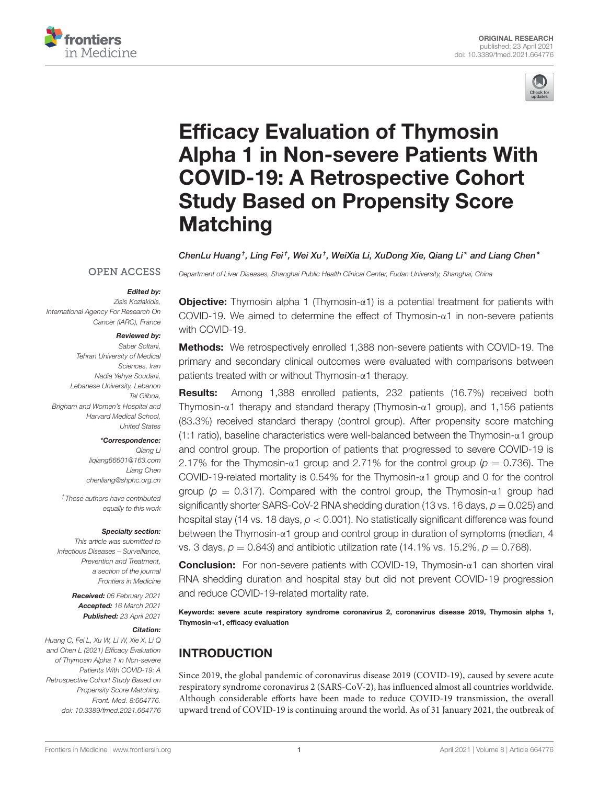



# Efficacy Evaluation of Thymosin [Alpha 1 in Non-severe Patients With](https://www.frontiersin.org/articles/10.3389/fmed.2021.664776/full) COVID-19: A Retrospective Cohort Study Based on Propensity Score **Matching**

ChenLu Huang†, Ling Fei†, Wei Xu†, WeiXia Li, XuDong Xie, Qiang Li\* and Liang Chen\*

*Department of Liver Diseases, Shanghai Public Health Clinical Center, Fudan University, Shanghai, China*

#### **OPEN ACCESS**

#### Edited by:

*Zisis Kozlakidis, International Agency For Research On Cancer (IARC), France*

#### Reviewed by:

*Saber Soltani, Tehran University of Medical Sciences, Iran Nadia Yehya Soudani, Lebanese University, Lebanon Tal Gilboa, Brigham and Women's Hospital and Harvard Medical School, United States*

#### \*Correspondence:

*Qiang Li [liqiang66601@163.com](mailto:liqiang66601@163.com) Liang Chen [chenliang@shphc.org.cn](mailto:chenliang@shphc.org.cn)*

*†These authors have contributed equally to this work*

#### Specialty section:

*This article was submitted to Infectious Diseases – Surveillance, Prevention and Treatment, a section of the journal Frontiers in Medicine*

> Received: *06 February 2021* Accepted: *16 March 2021* Published: *23 April 2021*

#### Citation:

*Huang C, Fei L, Xu W, Li W, Xie X, Li Q and Chen L (2021) Efficacy Evaluation of Thymosin Alpha 1 in Non-severe Patients With COVID-19: A Retrospective Cohort Study Based on Propensity Score Matching. Front. Med. 8:664776. doi: [10.3389/fmed.2021.664776](https://doi.org/10.3389/fmed.2021.664776)*

**Objective:** Thymosin alpha 1 (Thymosin- $\alpha$ 1) is a potential treatment for patients with COVID-19. We aimed to determine the effect of Thymosin-α1 in non-severe patients with COVID-19.

Methods: We retrospectively enrolled 1,388 non-severe patients with COVID-19. The primary and secondary clinical outcomes were evaluated with comparisons between patients treated with or without Thymosin-α1 therapy.

Results: Among 1,388 enrolled patients, 232 patients (16.7%) received both Thymosin-α1 therapy and standard therapy (Thymosin-α1 group), and 1,156 patients (83.3%) received standard therapy (control group). After propensity score matching (1:1 ratio), baseline characteristics were well-balanced between the Thymosin- $\alpha$ 1 group and control group. The proportion of patients that progressed to severe COVID-19 is 2.17% for the Thymosin- $\alpha$ 1 group and 2.71% for the control group ( $p = 0.736$ ). The COVID-19-related mortality is 0.54% for the Thymosin-α1 group and 0 for the control group ( $p = 0.317$ ). Compared with the control group, the Thymosin- $\alpha$ 1 group had significantly shorter SARS-CoV-2 RNA shedding duration (13 vs. 16 days,  $p = 0.025$ ) and hospital stay (14 vs. 18 days, *p* < 0.001). No statistically significant difference was found between the Thymosin-α1 group and control group in duration of symptoms (median, 4 vs. 3 days,  $p = 0.843$ ) and antibiotic utilization rate (14.1% vs. 15.2%,  $p = 0.768$ ).

Conclusion: For non-severe patients with COVID-19, Thymosin-α1 can shorten viral RNA shedding duration and hospital stay but did not prevent COVID-19 progression and reduce COVID-19-related mortality rate.

Keywords: severe acute respiratory syndrome coronavirus 2, coronavirus disease 2019, Thymosin alpha 1, Thymosin-α1, efficacy evaluation

# INTRODUCTION

Since 2019, the global pandemic of coronavirus disease 2019 (COVID-19), caused by severe acute respiratory syndrome coronavirus 2 (SARS-CoV-2), has influenced almost all countries worldwide. Although considerable efforts have been made to reduce COVID-19 transmission, the overall upward trend of COVID-19 is continuing around the world. As of 31 January 2021, the outbreak of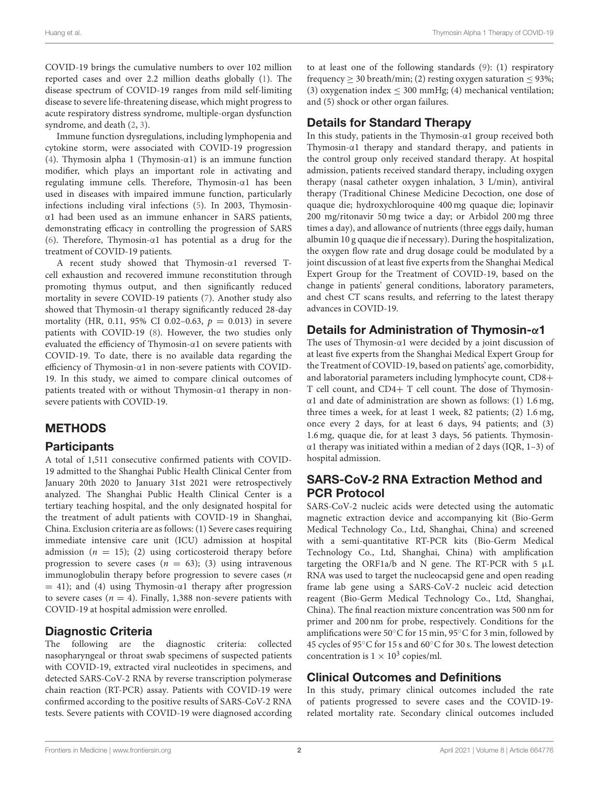COVID-19 brings the cumulative numbers to over 102 million reported cases and over 2.2 million deaths globally [\(1\)](#page-6-0). The disease spectrum of COVID-19 ranges from mild self-limiting disease to severe life-threatening disease, which might progress to acute respiratory distress syndrome, multiple-organ dysfunction syndrome, and death [\(2,](#page-6-1) [3\)](#page-6-2).

Immune function dysregulations, including lymphopenia and cytokine storm, were associated with COVID-19 progression [\(4\)](#page-6-3). Thymosin alpha 1 (Thymosin-α1) is an immune function modifier, which plays an important role in activating and regulating immune cells. Therefore, Thymosin-α1 has been used in diseases with impaired immune function, particularly infections including viral infections [\(5\)](#page-6-4). In 2003, Thymosinα1 had been used as an immune enhancer in SARS patients, demonstrating efficacy in controlling the progression of SARS [\(6\)](#page-6-5). Therefore, Thymosin-α1 has potential as a drug for the treatment of COVID-19 patients.

A recent study showed that Thymosin-α1 reversed Tcell exhaustion and recovered immune reconstitution through promoting thymus output, and then significantly reduced mortality in severe COVID-19 patients [\(7\)](#page-7-0). Another study also showed that Thymosin-α1 therapy significantly reduced 28-day mortality (HR, 0.11, 95% CI 0.02-0.63,  $p = 0.013$ ) in severe patients with COVID-19 [\(8\)](#page-7-1). However, the two studies only evaluated the efficiency of Thymosin-α1 on severe patients with COVID-19. To date, there is no available data regarding the efficiency of Thymosin-α1 in non-severe patients with COVID-19. In this study, we aimed to compare clinical outcomes of patients treated with or without Thymosin-α1 therapy in nonsevere patients with COVID-19.

# METHODS

## **Participants**

A total of 1,511 consecutive confirmed patients with COVID-19 admitted to the Shanghai Public Health Clinical Center from January 20th 2020 to January 31st 2021 were retrospectively analyzed. The Shanghai Public Health Clinical Center is a tertiary teaching hospital, and the only designated hospital for the treatment of adult patients with COVID-19 in Shanghai, China. Exclusion criteria are as follows: (1) Severe cases requiring immediate intensive care unit (ICU) admission at hospital admission ( $n = 15$ ); (2) using corticosteroid therapy before progression to severe cases ( $n = 63$ ); (3) using intravenous immunoglobulin therapy before progression to severe cases (n  $= 41$ ); and (4) using Thymosin- $\alpha$ 1 therapy after progression to severe cases ( $n = 4$ ). Finally, 1,388 non-severe patients with COVID-19 at hospital admission were enrolled.

# Diagnostic Criteria

The following are the diagnostic criteria: collected nasopharyngeal or throat swab specimens of suspected patients with COVID-19, extracted viral nucleotides in specimens, and detected SARS-CoV-2 RNA by reverse transcription polymerase chain reaction (RT-PCR) assay. Patients with COVID-19 were confirmed according to the positive results of SARS-CoV-2 RNA tests. Severe patients with COVID-19 were diagnosed according to at least one of the following standards [\(9\)](#page-7-2): (1) respiratory frequency  $> 30$  breath/min; (2) resting oxygen saturation  $< 93\%$ ; (3) oxygenation index  $\leq$  300 mmHg; (4) mechanical ventilation; and (5) shock or other organ failures.

# Details for Standard Therapy

In this study, patients in the Thymosin-α1 group received both Thymosin-α1 therapy and standard therapy, and patients in the control group only received standard therapy. At hospital admission, patients received standard therapy, including oxygen therapy (nasal catheter oxygen inhalation, 3 L/min), antiviral therapy (Traditional Chinese Medicine Decoction, one dose of quaque die; hydroxychloroquine 400 mg quaque die; lopinavir 200 mg/ritonavir 50 mg twice a day; or Arbidol 200 mg three times a day), and allowance of nutrients (three eggs daily, human albumin 10 g quaque die if necessary). During the hospitalization, the oxygen flow rate and drug dosage could be modulated by a joint discussion of at least five experts from the Shanghai Medical Expert Group for the Treatment of COVID-19, based on the change in patients' general conditions, laboratory parameters, and chest CT scans results, and referring to the latest therapy advances in COVID-19.

## Details for Administration of Thymosin-α1

The uses of Thymosin-α1 were decided by a joint discussion of at least five experts from the Shanghai Medical Expert Group for the Treatment of COVID-19, based on patients' age, comorbidity, and laboratorial parameters including lymphocyte count, CD8+ T cell count, and CD4+ T cell count. The dose of Thymosinα1 and date of administration are shown as follows: (1) 1.6 mg, three times a week, for at least 1 week, 82 patients; (2) 1.6 mg, once every 2 days, for at least 6 days, 94 patients; and (3) 1.6 mg, quaque die, for at least 3 days, 56 patients. Thymosinα1 therapy was initiated within a median of 2 days (IQR, 1–3) of hospital admission.

# SARS-CoV-2 RNA Extraction Method and PCR Protocol

SARS-CoV-2 nucleic acids were detected using the automatic magnetic extraction device and accompanying kit (Bio-Germ Medical Technology Co., Ltd, Shanghai, China) and screened with a semi-quantitative RT-PCR kits (Bio-Germ Medical Technology Co., Ltd, Shanghai, China) with amplification targeting the ORF1a/b and N gene. The RT-PCR with 5  $\mu$ L RNA was used to target the nucleocapsid gene and open reading frame lab gene using a SARS-CoV-2 nucleic acid detection reagent (Bio-Germ Medical Technology Co., Ltd, Shanghai, China). The final reaction mixture concentration was 500 nm for primer and 200 nm for probe, respectively. Conditions for the amplifications were 50◦C for 15 min, 95◦C for 3 min, followed by 45 cycles of 95◦C for 15 s and 60◦C for 30 s. The lowest detection concentration is  $1 \times 10^3$  copies/ml.

## Clinical Outcomes and Definitions

In this study, primary clinical outcomes included the rate of patients progressed to severe cases and the COVID-19 related mortality rate. Secondary clinical outcomes included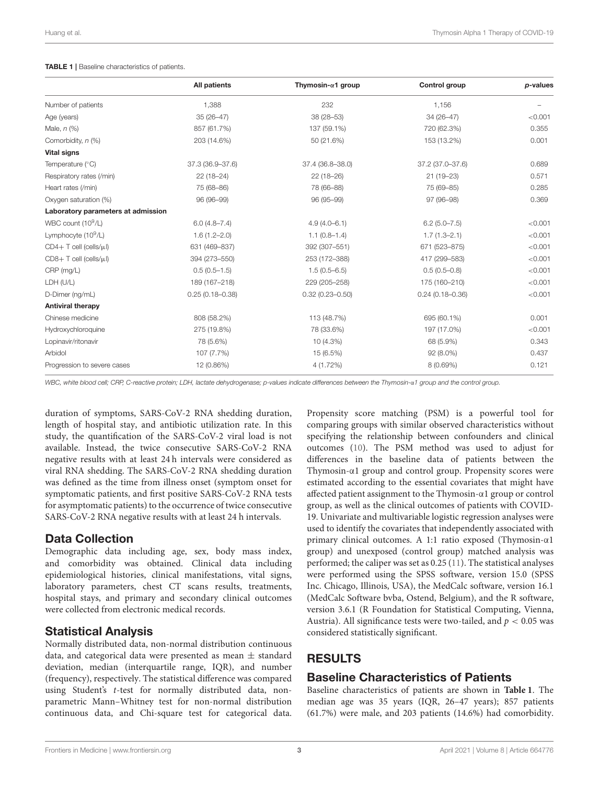#### <span id="page-2-0"></span>TABLE 1 | Baseline characteristics of patients.

|                                    | <b>All patients</b> | Thymosin- $\alpha$ 1 group | Control group       | p-values |
|------------------------------------|---------------------|----------------------------|---------------------|----------|
| Number of patients                 | 1,388               | 232                        | 1,156               |          |
| Age (years)                        | $35(26 - 47)$       | 38 (28-53)                 | 34 (26-47)          | < 0.001  |
| Male, $n$ $(\%)$                   | 857 (61.7%)         | 137 (59.1%)                | 720 (62.3%)         | 0.355    |
| Comorbidity, n (%)                 | 203 (14.6%)         | 50 (21.6%)                 | 153 (13.2%)         | 0.001    |
| <b>Vital signs</b>                 |                     |                            |                     |          |
| Temperature (°C)                   | 37.3 (36.9-37.6)    | 37.4 (36.8-38.0)           | 37.2 (37.0-37.6)    | 0.689    |
| Respiratory rates (/min)           | $22(18-24)$         | $22(18-26)$                | $21(19 - 23)$       | 0.571    |
| Heart rates (/min)                 | 75 (68-86)          | 78 (66-88)                 | 75 (69-85)          | 0.285    |
| Oxygen saturation (%)              | 96 (96-99)          | 96 (95-99)                 | 97 (96-98)          | 0.369    |
| Laboratory parameters at admission |                     |                            |                     |          |
| WBC count (10 <sup>9</sup> /L)     | $6.0(4.8 - 7.4)$    | $4.9(4.0 - 6.1)$           | $6.2(5.0 - 7.5)$    | < 0.001  |
| Lymphocyte (10 <sup>9</sup> /L)    | $1.6(1.2 - 2.0)$    | $1.1(0.8-1.4)$             | $1.7(1.3 - 2.1)$    | < 0.001  |
| $CD4+T$ cell (cells/ $\mu$ l)      | 631 (469-837)       | 392 (307-551)              | 671 (523-875)       | < 0.001  |
| $CDB+T$ cell (cells/ $\mu$ l)      | 394 (273-550)       | 253 (172-388)              | 417 (299-583)       | < 0.001  |
| CRP (mg/L)                         | $0.5(0.5-1.5)$      | $1.5(0.5 - 6.5)$           | $0.5(0.5-0.8)$      | < 0.001  |
| LDH (U/L)                          | 189 (167-218)       | 229 (205-258)              | 175 (160-210)       | < 0.001  |
| D-Dimer (ng/mL)                    | $0.25(0.18 - 0.38)$ | $0.32(0.23 - 0.50)$        | $0.24(0.18 - 0.36)$ | < 0.001  |
| <b>Antiviral therapy</b>           |                     |                            |                     |          |
| Chinese medicine                   | 808 (58.2%)         | 113 (48.7%)                | 695 (60.1%)         | 0.001    |
| Hydroxychloroquine                 | 275 (19.8%)         | 78 (33.6%)                 | 197 (17.0%)         | < 0.001  |
| Lopinavir/ritonavir                | 78 (5.6%)           | $10(4.3\%)$                | 68 (5.9%)           | 0.343    |
| Arbidol                            | 107 (7.7%)          | 15 (6.5%)                  | $92(8.0\%)$         | 0.437    |
| Progression to severe cases        | 12 (0.86%)          | 4 (1.72%)                  | 8 (0.69%)           | 0.121    |

*WBC, white blood cell; CRP, C-reactive protein; LDH, lactate dehydrogenase; p-values indicate differences between the Thymosin-*α*1 group and the control group.*

duration of symptoms, SARS-CoV-2 RNA shedding duration, length of hospital stay, and antibiotic utilization rate. In this study, the quantification of the SARS-CoV-2 viral load is not available. Instead, the twice consecutive SARS-CoV-2 RNA negative results with at least 24 h intervals were considered as viral RNA shedding. The SARS-CoV-2 RNA shedding duration was defined as the time from illness onset (symptom onset for symptomatic patients, and first positive SARS-CoV-2 RNA tests for asymptomatic patients) to the occurrence of twice consecutive SARS-CoV-2 RNA negative results with at least 24 h intervals.

#### Data Collection

Demographic data including age, sex, body mass index, and comorbidity was obtained. Clinical data including epidemiological histories, clinical manifestations, vital signs, laboratory parameters, chest CT scans results, treatments, hospital stays, and primary and secondary clinical outcomes were collected from electronic medical records.

#### Statistical Analysis

Normally distributed data, non-normal distribution continuous data, and categorical data were presented as mean  $\pm$  standard deviation, median (interquartile range, IQR), and number (frequency), respectively. The statistical difference was compared using Student's t-test for normally distributed data, nonparametric Mann–Whitney test for non-normal distribution continuous data, and Chi-square test for categorical data.

Propensity score matching (PSM) is a powerful tool for comparing groups with similar observed characteristics without specifying the relationship between confounders and clinical outcomes [\(10\)](#page-7-3). The PSM method was used to adjust for differences in the baseline data of patients between the Thymosin-α1 group and control group. Propensity scores were estimated according to the essential covariates that might have affected patient assignment to the Thymosin-α1 group or control group, as well as the clinical outcomes of patients with COVID-19. Univariate and multivariable logistic regression analyses were used to identify the covariates that independently associated with primary clinical outcomes. A 1:1 ratio exposed (Thymosin-α1 group) and unexposed (control group) matched analysis was performed; the caliper was set as 0.25 [\(11\)](#page-7-4). The statistical analyses were performed using the SPSS software, version 15.0 (SPSS Inc. Chicago, Illinois, USA), the MedCalc software, version 16.1 (MedCalc Software bvba, Ostend, Belgium), and the R software, version 3.6.1 (R Foundation for Statistical Computing, Vienna, Austria). All significance tests were two-tailed, and  $p < 0.05$  was considered statistically significant.

# RESULTS

## Baseline Characteristics of Patients

Baseline characteristics of patients are shown in **[Table 1](#page-2-0)**. The median age was 35 years (IQR, 26–47 years); 857 patients (61.7%) were male, and 203 patients (14.6%) had comorbidity.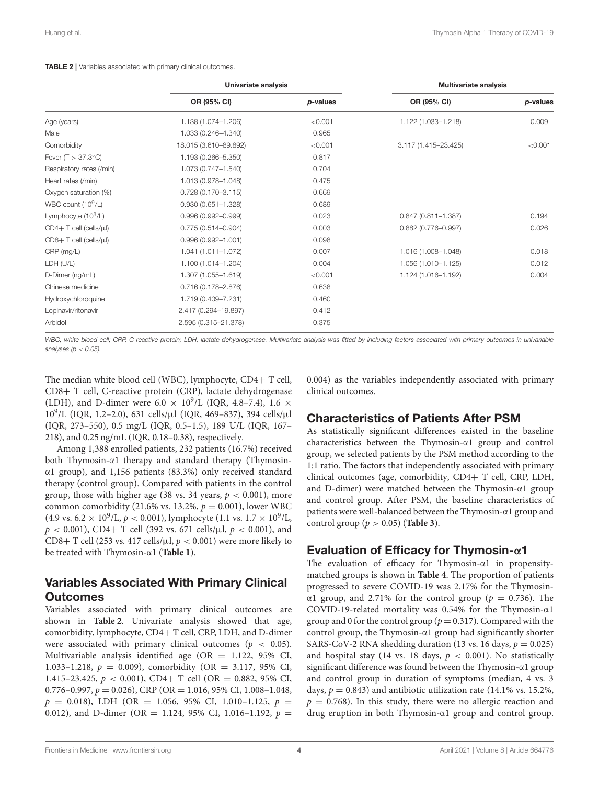<span id="page-3-0"></span>

|                                | Univariate analysis    |          | <b>Multivariate analysis</b> |          |
|--------------------------------|------------------------|----------|------------------------------|----------|
|                                | OR (95% CI)            | p-values | OR (95% CI)                  | p-values |
| Age (years)                    | 1.138 (1.074-1.206)    | < 0.001  | 1.122 (1.033-1.218)          | 0.009    |
| Male                           | 1.033 (0.246-4.340)    | 0.965    |                              |          |
| Comorbidity                    | 18.015 (3.610-89.892)  | < 0.001  | 3.117 (1.415-23.425)         | < 0.001  |
| Fever $(T > 37.3^{\circ}C)$    | 1.193 (0.266-5.350)    | 0.817    |                              |          |
| Respiratory rates (/min)       | 1.073 (0.747-1.540)    | 0.704    |                              |          |
| Heart rates (/min)             | 1.013 (0.978-1.048)    | 0.475    |                              |          |
| Oxygen saturation (%)          | $0.728(0.170 - 3.115)$ | 0.669    |                              |          |
| WBC count (10 <sup>9</sup> /L) | $0.930(0.651 - 1.328)$ | 0.689    |                              |          |
| Lymphocyte $(10^9/L)$          | $0.996(0.992 - 0.999)$ | 0.023    | $0.847(0.811 - 1.387)$       | 0.194    |
| $CD4+T$ cell (cells/ $\mu$ l)  | $0.775(0.514 - 0.904)$ | 0.003    | $0.882(0.776 - 0.997)$       | 0.026    |
| $CDB+T$ cell (cells/ $\mu$ l)  | $0.996(0.992 - 1.001)$ | 0.098    |                              |          |
| CRP (mg/L)                     | 1.041 (1.011-1.072)    | 0.007    | 1.016 (1.008-1.048)          | 0.018    |
| LDH (U/L)                      | 1.100 (1.014-1.204)    | 0.004    | 1.056 (1.010-1.125)          | 0.012    |
| D-Dimer (ng/mL)                | 1.307 (1.055-1.619)    | < 0.001  | 1.124 (1.016-1.192)          | 0.004    |
| Chinese medicine               | 0.716 (0.178-2.876)    | 0.638    |                              |          |
| Hydroxychloroquine             | 1.719 (0.409-7.231)    | 0.460    |                              |          |
| Lopinavir/ritonavir            | 2.417 (0.294-19.897)   | 0.412    |                              |          |
| Arbidol                        | 2.595 (0.315-21.378)   | 0.375    |                              |          |

WBC, white blood cell; CRP, C-reactive protein; LDH, lactate dehydrogenase. Multivariate analysis was fitted by including factors associated with primary outcomes in univariable *analyses (p* < *0.05).*

The median white blood cell (WBC), lymphocyte, CD4+ T cell, CD8+ T cell, C-reactive protein (CRP), lactate dehydrogenase (LDH), and D-dimer were 6.0  $\times$  10<sup>9</sup>/L (IQR, 4.8-7.4), 1.6  $\times$ 10<sup>9</sup> /L (IQR, 1.2–2.0), 631 cells/µl (IQR, 469–837), 394 cells/µl (IQR, 273–550), 0.5 mg/L (IQR, 0.5–1.5), 189 U/L (IQR, 167– 218), and 0.25 ng/mL (IQR, 0.18–0.38), respectively.

Among 1,388 enrolled patients, 232 patients (16.7%) received both Thymosin-α1 therapy and standard therapy (Thymosinα1 group), and 1,156 patients (83.3%) only received standard therapy (control group). Compared with patients in the control group, those with higher age (38 vs. 34 years,  $p < 0.001$ ), more common comorbidity (21.6% vs. 13.2%,  $p = 0.001$ ), lower WBC (4.9 vs. 6.2  $\times$  10<sup>9</sup>/L,  $p < 0.001$ ), lymphocyte (1.1 vs. 1.7  $\times$  10<sup>9</sup>/L,  $p < 0.001$ ), CD4+ T cell (392 vs. 671 cells/ $\mu$ l,  $p < 0.001$ ), and CD8+ T cell (253 vs. 417 cells/ $\mu$ l,  $p < 0.001$ ) were more likely to be treated with Thymosin-α1 (**[Table 1](#page-2-0)**).

# Variables Associated With Primary Clinical Outcomes

Variables associated with primary clinical outcomes are shown in **[Table 2](#page-3-0)**. Univariate analysis showed that age, comorbidity, lymphocyte, CD4+ T cell, CRP, LDH, and D-dimer were associated with primary clinical outcomes ( $p < 0.05$ ). Multivariable analysis identified age (OR =  $1.122$ , 95% CI, 1.033–1.218,  $p = 0.009$ ), comorbidity (OR = 3.117, 95% CI, 1.415–23.425,  $p < 0.001$ ), CD4+ T cell (OR = 0.882, 95% CI,  $0.776-0.997$ ,  $p = 0.026$ ), CRP (OR = 1.016, 95% CI, 1.008-1.048,  $p = 0.018$ ), LDH (OR = 1.056, 95% CI, 1.010-1.125,  $p =$ 0.012), and D-dimer (OR = 1.124, 95% CI, 1.016-1.192,  $p =$ 

0.004) as the variables independently associated with primary clinical outcomes.

## Characteristics of Patients After PSM

As statistically significant differences existed in the baseline characteristics between the Thymosin-α1 group and control group, we selected patients by the PSM method according to the 1:1 ratio. The factors that independently associated with primary clinical outcomes (age, comorbidity, CD4+ T cell, CRP, LDH, and D-dimer) were matched between the Thymosin-α1 group and control group. After PSM, the baseline characteristics of patients were well-balanced between the Thymosin-α1 group and control group ( $p > 0.05$ ) (**[Table 3](#page-4-0)**).

## Evaluation of Efficacy for Thymosin-α1

The evaluation of efficacy for Thymosin-α1 in propensitymatched groups is shown in **[Table 4](#page-4-1)**. The proportion of patients progressed to severe COVID-19 was 2.17% for the Thymosinα1 group, and 2.71% for the control group ( $p = 0.736$ ). The COVID-19-related mortality was 0.54% for the Thymosin-α1 group and 0 for the control group ( $p = 0.317$ ). Compared with the control group, the Thymosin-α1 group had significantly shorter SARS-CoV-2 RNA shedding duration (13 vs. 16 days,  $p = 0.025$ ) and hospital stay (14 vs. 18 days,  $p < 0.001$ ). No statistically significant difference was found between the Thymosin-α1 group and control group in duration of symptoms (median, 4 vs. 3 days,  $p = 0.843$ ) and antibiotic utilization rate (14.1% vs. 15.2%,  $p = 0.768$ ). In this study, there were no allergic reaction and drug eruption in both Thymosin-α1 group and control group.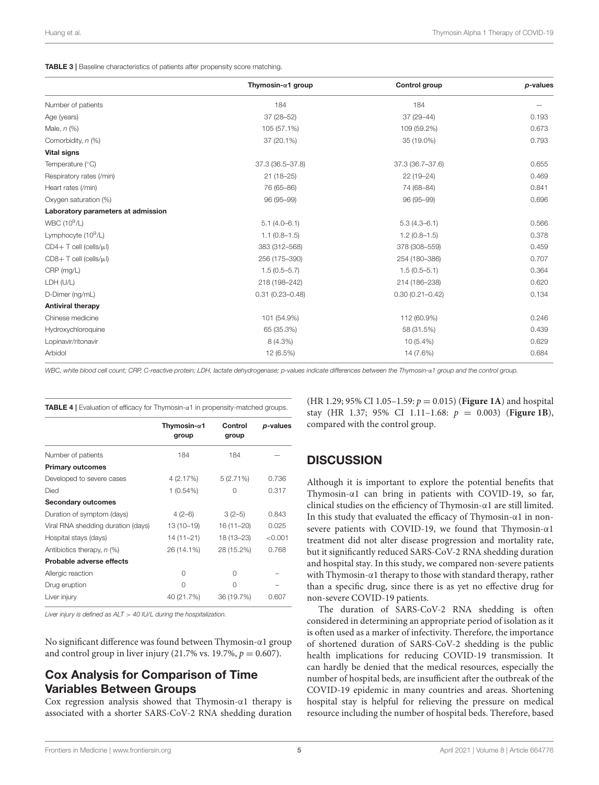<span id="page-4-0"></span>TABLE 3 | Baseline characteristics of patients after propensity score matching.

|                                    | Thymosin- $\alpha$ 1 group | Control group       | p-values |
|------------------------------------|----------------------------|---------------------|----------|
| Number of patients                 | 184                        | 184                 |          |
| Age (years)                        | 37 (28-52)                 | 37 (29-44)          | 0.193    |
| Male, $n$ $(\%)$                   | 105 (57.1%)                | 109 (59.2%)         | 0.673    |
| Comorbidity, n (%)                 | 37 (20.1%)                 | 35 (19.0%)          | 0.793    |
| <b>Vital signs</b>                 |                            |                     |          |
| Temperature $(°C)$                 | 37.3 (36.5-37.8)           | 37.3 (36.7-37.6)    | 0.655    |
| Respiratory rates (/min)           | $21(18-25)$                | 22 (19-24)          | 0.469    |
| Heart rates (/min)                 | 76 (65-86)                 | 74 (68-84)          | 0.841    |
| Oxygen saturation (%)              | 96 (95-99)                 | 96 (95-99)          | 0.696    |
| Laboratory parameters at admission |                            |                     |          |
| WBC (10 <sup>9</sup> /L)           | $5.1(4.0-6.1)$             | $5.3(4.3 - 6.1)$    | 0.566    |
| Lymphocyte $(10^9/L)$              | $1.1(0.8-1.5)$             | $1.2(0.8 - 1.5)$    | 0.378    |
| $CD4+T$ cell (cells/ $\mu$ l)      | 383 (312-568)              | 378 (308-559)       | 0.459    |
| $CDB+T$ cell (cells/ $\mu$ l)      | 256 (175-390)              | 254 (180-386)       | 0.707    |
| CRP (mg/L)                         | $1.5(0.5 - 5.7)$           | $1.5(0.5 - 5.1)$    | 0.364    |
| LDH (U/L)                          | 218 (198-242)              | 214 (186-238)       | 0.620    |
| D-Dimer (ng/mL)                    | $0.31(0.23 - 0.48)$        | $0.30(0.21 - 0.42)$ | 0.134    |
| <b>Antiviral therapy</b>           |                            |                     |          |
| Chinese medicine                   | 101 (54.9%)                | 112 (60.9%)         | 0.246    |
| Hydroxychloroquine                 | 65 (35.3%)                 | 58 (31.5%)          | 0.439    |
| Lopinavir/ritonavir                | 8 (4.3%)                   | $10(5.4\%)$         | 0.629    |
| Arbidol                            | 12 (6.5%)                  | 14 (7.6%)           | 0.684    |

*WBC, white blood cell count; CRP, C-reactive protein; LDH, lactate dehydrogenase; p-values indicate differences between the Thymosin-*α*1 group and the control group.*

<span id="page-4-1"></span>TABLE 4 | Evaluation of efficacy for Thymosin-α1 in propensity-matched groups.

|                                    | Thymosin- $\alpha$ 1<br>group | Control<br>group | p-values |
|------------------------------------|-------------------------------|------------------|----------|
| Number of patients                 | 184                           | 184              |          |
| <b>Primary outcomes</b>            |                               |                  |          |
| Developed to severe cases          | 4(2.17%)                      | 5(2.71%)         | 0.736    |
| Died                               | $1(0.54\%)$                   | Ω                | 0.317    |
| <b>Secondary outcomes</b>          |                               |                  |          |
| Duration of symptom (days)         | $4(2-6)$                      | $3(2-5)$         | 0.843    |
| Viral RNA shedding duration (days) | 13 (10-19)                    | 16 (11-20)       | 0.025    |
| Hospital stays (days)              | 14 (11–21)                    | 18 (13-23)       | < 0.001  |
| Antibiotics therapy, $n$ (%)       | 26 (14.1%)                    | 28 (15.2%)       | 0.768    |
| Probable adverse effects           |                               |                  |          |
| Allergic reaction                  | 0                             | $\Omega$         |          |
| Drug eruption                      | 0                             | O                |          |
| Liver injury                       | 40 (21.7%)                    | 36 (19.7%)       | 0.607    |

*Liver injury is defined as ALT* > *40 IU/L during the hospitalization.*

No significant difference was found between Thymosin-α1 group and control group in liver injury (21.7% vs. 19.7%,  $p = 0.607$ ).

## Cox Analysis for Comparison of Time Variables Between Groups

Cox regression analysis showed that Thymosin-α1 therapy is associated with a shorter SARS-CoV-2 RNA shedding duration

(HR 1.29; 95% CI 1.05-1.59:  $p = 0.015$ ) (**[Figure 1A](#page-5-0)**) and hospital stay (HR 1.37; 95% CI 1.11–1.68:  $p = 0.003$ ) (**[Figure 1B](#page-5-0)**), compared with the control group.

#### **DISCUSSION**

Although it is important to explore the potential benefits that Thymosin-α1 can bring in patients with COVID-19, so far, clinical studies on the efficiency of Thymosin-α1 are still limited. In this study that evaluated the efficacy of Thymosin-α1 in nonsevere patients with COVID-19, we found that Thymosin-α1 treatment did not alter disease progression and mortality rate, but it significantly reduced SARS-CoV-2 RNA shedding duration and hospital stay. In this study, we compared non-severe patients with Thymosin-α1 therapy to those with standard therapy, rather than a specific drug, since there is as yet no effective drug for non-severe COVID-19 patients.

The duration of SARS-CoV-2 RNA shedding is often considered in determining an appropriate period of isolation as it is often used as a marker of infectivity. Therefore, the importance of shortened duration of SARS-CoV-2 shedding is the public health implications for reducing COVID-19 transmission. It can hardly be denied that the medical resources, especially the number of hospital beds, are insufficient after the outbreak of the COVID-19 epidemic in many countries and areas. Shortening hospital stay is helpful for relieving the pressure on medical resource including the number of hospital beds. Therefore, based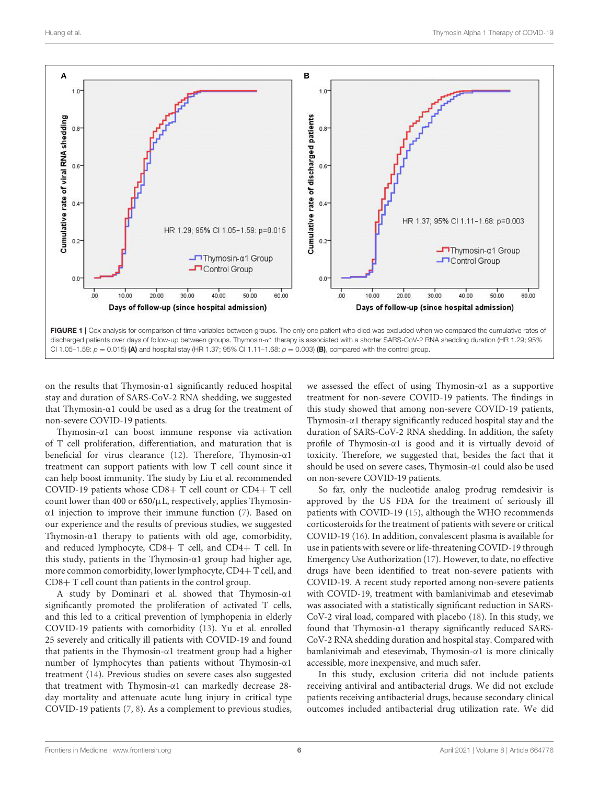

<span id="page-5-0"></span>on the results that Thymosin-α1 significantly reduced hospital stay and duration of SARS-CoV-2 RNA shedding, we suggested that Thymosin-α1 could be used as a drug for the treatment of non-severe COVID-19 patients.

Thymosin-α1 can boost immune response via activation of T cell proliferation, differentiation, and maturation that is beneficial for virus clearance [\(12\)](#page-7-5). Therefore, Thymosin-α1 treatment can support patients with low T cell count since it can help boost immunity. The study by Liu et al. recommended COVID-19 patients whose CD8+ T cell count or CD4+ T cell count lower than 400 or  $650/\mu L$ , respectively, applies Thymosinα1 injection to improve their immune function [\(7\)](#page-7-0). Based on our experience and the results of previous studies, we suggested Thymosin-α1 therapy to patients with old age, comorbidity, and reduced lymphocyte, CD8+ T cell, and CD4+ T cell. In this study, patients in the Thymosin-α1 group had higher age, more common comorbidity, lower lymphocyte, CD4+ T cell, and CD8+ T cell count than patients in the control group.

A study by Dominari et al. showed that Thymosin-α1 significantly promoted the proliferation of activated T cells, and this led to a critical prevention of lymphopenia in elderly COVID-19 patients with comorbidity [\(13\)](#page-7-6). Yu et al. enrolled 25 severely and critically ill patients with COVID-19 and found that patients in the Thymosin-α1 treatment group had a higher number of lymphocytes than patients without Thymosin-α1 treatment [\(14\)](#page-7-7). Previous studies on severe cases also suggested that treatment with Thymosin-α1 can markedly decrease 28 day mortality and attenuate acute lung injury in critical type COVID-19 patients [\(7,](#page-7-0) [8\)](#page-7-1). As a complement to previous studies,

we assessed the effect of using Thymosin-α1 as a supportive treatment for non-severe COVID-19 patients. The findings in this study showed that among non-severe COVID-19 patients, Thymosin-α1 therapy significantly reduced hospital stay and the duration of SARS-CoV-2 RNA shedding. In addition, the safety profile of Thymosin-α1 is good and it is virtually devoid of toxicity. Therefore, we suggested that, besides the fact that it should be used on severe cases, Thymosin-α1 could also be used on non-severe COVID-19 patients.

So far, only the nucleotide analog prodrug remdesivir is approved by the US FDA for the treatment of seriously ill patients with COVID-19 [\(15\)](#page-7-8), although the WHO recommends corticosteroids for the treatment of patients with severe or critical COVID-19 [\(16\)](#page-7-9). In addition, convalescent plasma is available for use in patients with severe or life-threatening COVID-19 through Emergency Use Authorization [\(17\)](#page-7-10). However, to date, no effective drugs have been identified to treat non-severe patients with COVID-19. A recent study reported among non-severe patients with COVID-19, treatment with bamlanivimab and etesevimab was associated with a statistically significant reduction in SARS-CoV-2 viral load, compared with placebo [\(18\)](#page-7-11). In this study, we found that Thymosin-α1 therapy significantly reduced SARS-CoV-2 RNA shedding duration and hospital stay. Compared with bamlanivimab and etesevimab, Thymosin-α1 is more clinically accessible, more inexpensive, and much safer.

In this study, exclusion criteria did not include patients receiving antiviral and antibacterial drugs. We did not exclude patients receiving antibacterial drugs, because secondary clinical outcomes included antibacterial drug utilization rate. We did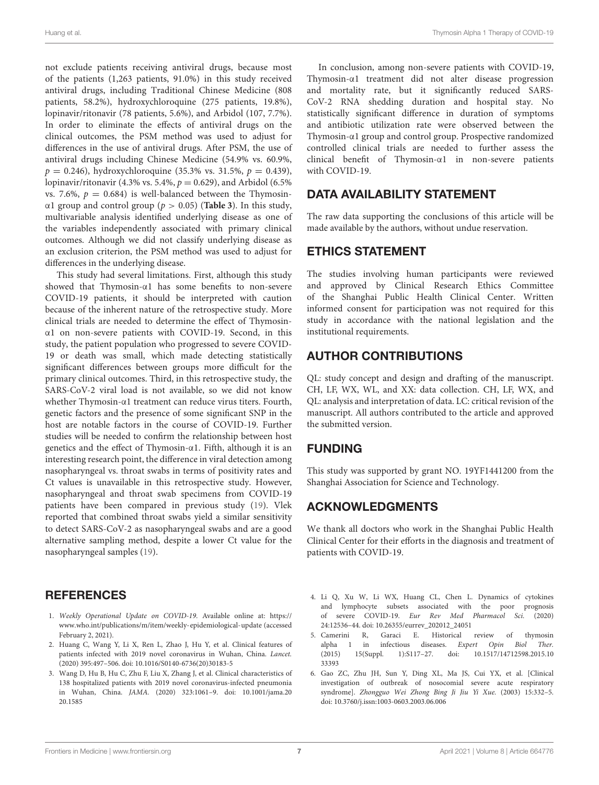not exclude patients receiving antiviral drugs, because most of the patients (1,263 patients, 91.0%) in this study received antiviral drugs, including Traditional Chinese Medicine (808 patients, 58.2%), hydroxychloroquine (275 patients, 19.8%), lopinavir/ritonavir (78 patients, 5.6%), and Arbidol (107, 7.7%). In order to eliminate the effects of antiviral drugs on the clinical outcomes, the PSM method was used to adjust for differences in the use of antiviral drugs. After PSM, the use of antiviral drugs including Chinese Medicine (54.9% vs. 60.9%,  $p = 0.246$ ), hydroxychloroquine (35.3% vs. 31.5%,  $p = 0.439$ ), lopinavir/ritonavir (4.3% vs. 5.4%,  $p = 0.629$ ), and Arbidol (6.5%) vs. 7.6%,  $p = 0.684$ ) is well-balanced between the Thymosinα1 group and control group (p > 0.05) (**[Table 3](#page-4-0)**). In this study, multivariable analysis identified underlying disease as one of the variables independently associated with primary clinical outcomes. Although we did not classify underlying disease as an exclusion criterion, the PSM method was used to adjust for differences in the underlying disease.

This study had several limitations. First, although this study showed that Thymosin-α1 has some benefits to non-severe COVID-19 patients, it should be interpreted with caution because of the inherent nature of the retrospective study. More clinical trials are needed to determine the effect of Thymosinα1 on non-severe patients with COVID-19. Second, in this study, the patient population who progressed to severe COVID-19 or death was small, which made detecting statistically significant differences between groups more difficult for the primary clinical outcomes. Third, in this retrospective study, the SARS-CoV-2 viral load is not available, so we did not know whether Thymosin-α1 treatment can reduce virus titers. Fourth, genetic factors and the presence of some significant SNP in the host are notable factors in the course of COVID-19. Further studies will be needed to confirm the relationship between host genetics and the effect of Thymosin-α1. Fifth, although it is an interesting research point, the difference in viral detection among nasopharyngeal vs. throat swabs in terms of positivity rates and Ct values is unavailable in this retrospective study. However, nasopharyngeal and throat swab specimens from COVID-19 patients have been compared in previous study [\(19\)](#page-7-12). Vlek reported that combined throat swabs yield a similar sensitivity to detect SARS-CoV-2 as nasopharyngeal swabs and are a good alternative sampling method, despite a lower Ct value for the nasopharyngeal samples [\(19\)](#page-7-12).

## **REFERENCES**

- <span id="page-6-0"></span>1. Weekly Operational Update on COVID-19. Available online at: [https://](https://www.who.int/publications/m/item/weekly-epidemiological-update) [www.who.int/publications/m/item/weekly-epidemiological-update](https://www.who.int/publications/m/item/weekly-epidemiological-update) (accessed February 2, 2021).
- <span id="page-6-1"></span>2. Huang C, Wang Y, Li X, Ren L, Zhao J, Hu Y, et al. Clinical features of patients infected with 2019 novel coronavirus in Wuhan, China. Lancet. (2020) 395:497–506. doi: [10.1016/S0140-6736\(20\)30183-5](https://doi.org/10.1016/S0140-6736(20)30183-5)
- <span id="page-6-2"></span>3. Wang D, Hu B, Hu C, Zhu F, Liu X, Zhang J, et al. Clinical characteristics of 138 hospitalized patients with 2019 novel coronavirus-infected pneumonia in Wuhan, China. JAMA. [\(2020\) 323:1061–9. doi: 10.1001/jama.20](https://doi.org/10.1001/jama.2020.1585) 20.1585

In conclusion, among non-severe patients with COVID-19, Thymosin-α1 treatment did not alter disease progression and mortality rate, but it significantly reduced SARS-CoV-2 RNA shedding duration and hospital stay. No statistically significant difference in duration of symptoms and antibiotic utilization rate were observed between the Thymosin-α1 group and control group. Prospective randomized controlled clinical trials are needed to further assess the clinical benefit of Thymosin-α1 in non-severe patients with COVID-19.

## DATA AVAILABILITY STATEMENT

The raw data supporting the conclusions of this article will be made available by the authors, without undue reservation.

## ETHICS STATEMENT

The studies involving human participants were reviewed and approved by Clinical Research Ethics Committee of the Shanghai Public Health Clinical Center. Written informed consent for participation was not required for this study in accordance with the national legislation and the institutional requirements.

# AUTHOR CONTRIBUTIONS

QL: study concept and design and drafting of the manuscript. CH, LF, WX, WL, and XX: data collection. CH, LF, WX, and QL: analysis and interpretation of data. LC: critical revision of the manuscript. All authors contributed to the article and approved the submitted version.

## FUNDING

This study was supported by grant NO. 19YF1441200 from the Shanghai Association for Science and Technology.

# ACKNOWLEDGMENTS

We thank all doctors who work in the Shanghai Public Health Clinical Center for their efforts in the diagnosis and treatment of patients with COVID-19.

- <span id="page-6-3"></span>4. Li Q, Xu W, Li WX, Huang CL, Chen L. Dynamics of cytokines and lymphocyte subsets associated with the poor prognosis of severe COVID-19. Eur Rev Med Pharmacol Sci. (2020) 24:12536–44. doi: [10.26355/eurrev\\_202012\\_24051](https://doi.org/10.26355/eurrev_202012_24051)
- <span id="page-6-4"></span>5. Camerini R, Garaci E. Historical review of thymosin alpha 1 in infectious diseases. Expert Opin Biol Ther. [\(2015\) 15\(Suppl. 1\):S117–27. doi: 10.1517/14712598.2015.10](https://doi.org/10.1517/14712598.2015.1033393) 33393
- <span id="page-6-5"></span>6. Gao ZC, Zhu JH, Sun Y, Ding XL, Ma JS, Cui YX, et al. [Clinical investigation of outbreak of nosocomial severe acute respiratory syndrome]. Zhongguo Wei Zhong Bing Ji Jiu Yi Xue. (2003) 15:332–5. doi: [10.3760/j.issn:1003-0603.2003.06.006](https://doi.org/10.3760/j.issn:1003-0603.2003.06.006)